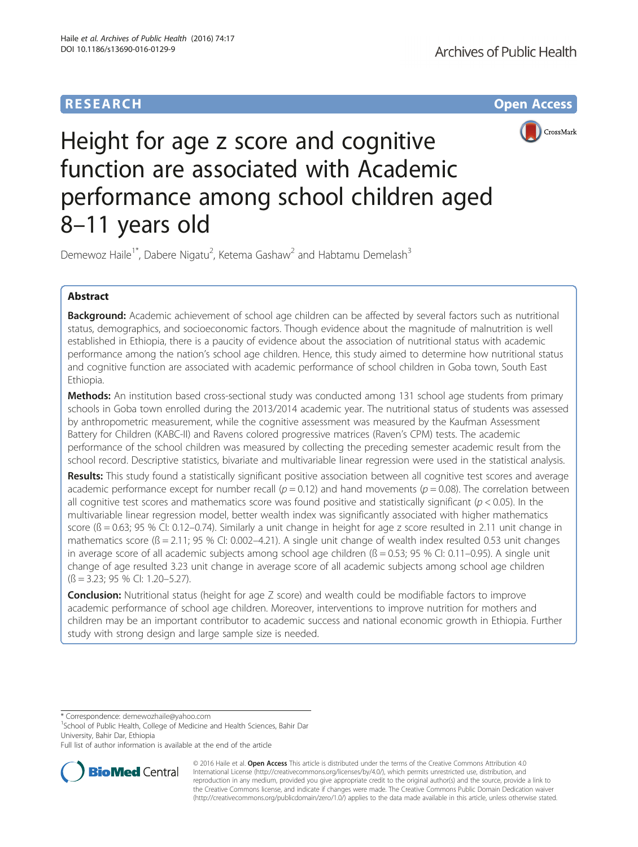## **RESEARCH CHE Open Access**



# Height for age z score and cognitive function are associated with Academic performance among school children aged 8–11 years old

Demewoz Haile<sup>1\*</sup>, Dabere Nigatu<sup>2</sup>, Ketema Gashaw<sup>2</sup> and Habtamu Demelash<sup>3</sup>

## Abstract

Background: Academic achievement of school age children can be affected by several factors such as nutritional status, demographics, and socioeconomic factors. Though evidence about the magnitude of malnutrition is well established in Ethiopia, there is a paucity of evidence about the association of nutritional status with academic performance among the nation's school age children. Hence, this study aimed to determine how nutritional status and cognitive function are associated with academic performance of school children in Goba town, South East Ethiopia.

Methods: An institution based cross-sectional study was conducted among 131 school age students from primary schools in Goba town enrolled during the 2013/2014 academic year. The nutritional status of students was assessed by anthropometric measurement, while the cognitive assessment was measured by the Kaufman Assessment Battery for Children (KABC-II) and Ravens colored progressive matrices (Raven's CPM) tests. The academic performance of the school children was measured by collecting the preceding semester academic result from the school record. Descriptive statistics, bivariate and multivariable linear regression were used in the statistical analysis.

Results: This study found a statistically significant positive association between all cognitive test scores and average academic performance except for number recall ( $p = 0.12$ ) and hand movements ( $p = 0.08$ ). The correlation between all cognitive test scores and mathematics score was found positive and statistically significant ( $p < 0.05$ ). In the multivariable linear regression model, better wealth index was significantly associated with higher mathematics score  $(6 = 0.63; 95\%$  CI: 0.12–0.74). Similarly a unit change in height for age z score resulted in 2.11 unit change in mathematics score ( $\beta$  = 2.11; 95 % CI: 0.002–4.21). A single unit change of wealth index resulted 0.53 unit changes in average score of all academic subjects among school age children  $(6 = 0.53; 95\%$  CI: 0.11–0.95). A single unit change of age resulted 3.23 unit change in average score of all academic subjects among school age children  $(S = 3.23; 95\% \text{ CI: } 1.20 - 5.27).$ 

**Conclusion:** Nutritional status (height for age Z score) and wealth could be modifiable factors to improve academic performance of school age children. Moreover, interventions to improve nutrition for mothers and children may be an important contributor to academic success and national economic growth in Ethiopia. Further study with strong design and large sample size is needed.

\* Correspondence: [demewozhaile@yahoo.com](mailto:demewozhaile@yahoo.com) <sup>1</sup>

<sup>1</sup>School of Public Health, College of Medicine and Health Sciences, Bahir Dar University, Bahir Dar, Ethiopia

Full list of author information is available at the end of the article



© 2016 Haile et al. Open Access This article is distributed under the terms of the Creative Commons Attribution 4.0 International License [\(http://creativecommons.org/licenses/by/4.0/](http://creativecommons.org/licenses/by/4.0/)), which permits unrestricted use, distribution, and reproduction in any medium, provided you give appropriate credit to the original author(s) and the source, provide a link to the Creative Commons license, and indicate if changes were made. The Creative Commons Public Domain Dedication waiver [\(http://creativecommons.org/publicdomain/zero/1.0/](http://creativecommons.org/publicdomain/zero/1.0/)) applies to the data made available in this article, unless otherwise stated.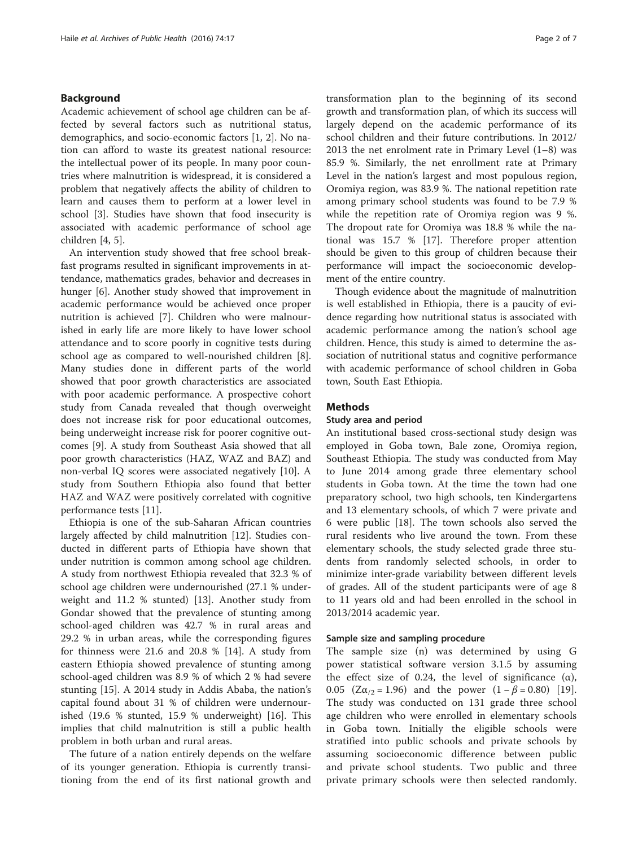## Background

Academic achievement of school age children can be affected by several factors such as nutritional status, demographics, and socio-economic factors [\[1](#page-5-0), [2](#page-5-0)]. No nation can afford to waste its greatest national resource: the intellectual power of its people. In many poor countries where malnutrition is widespread, it is considered a problem that negatively affects the ability of children to learn and causes them to perform at a lower level in school [\[3\]](#page-5-0). Studies have shown that food insecurity is associated with academic performance of school age children [\[4](#page-6-0), [5](#page-6-0)].

An intervention study showed that free school breakfast programs resulted in significant improvements in attendance, mathematics grades, behavior and decreases in hunger [\[6](#page-6-0)]. Another study showed that improvement in academic performance would be achieved once proper nutrition is achieved [[7\]](#page-6-0). Children who were malnourished in early life are more likely to have lower school attendance and to score poorly in cognitive tests during school age as compared to well-nourished children [\[8](#page-6-0)]. Many studies done in different parts of the world showed that poor growth characteristics are associated with poor academic performance. A prospective cohort study from Canada revealed that though overweight does not increase risk for poor educational outcomes, being underweight increase risk for poorer cognitive outcomes [\[9](#page-6-0)]. A study from Southeast Asia showed that all poor growth characteristics (HAZ, WAZ and BAZ) and non-verbal IQ scores were associated negatively [[10](#page-6-0)]. A study from Southern Ethiopia also found that better HAZ and WAZ were positively correlated with cognitive performance tests [[11\]](#page-6-0).

Ethiopia is one of the sub-Saharan African countries largely affected by child malnutrition [\[12](#page-6-0)]. Studies conducted in different parts of Ethiopia have shown that under nutrition is common among school age children. A study from northwest Ethiopia revealed that 32.3 % of school age children were undernourished (27.1 % underweight and 11.2 % stunted) [\[13](#page-6-0)]. Another study from Gondar showed that the prevalence of stunting among school-aged children was 42.7 % in rural areas and 29.2 % in urban areas, while the corresponding figures for thinness were 21.6 and 20.8 % [[14\]](#page-6-0). A study from eastern Ethiopia showed prevalence of stunting among school-aged children was 8.9 % of which 2 % had severe stunting [[15](#page-6-0)]. A 2014 study in Addis Ababa, the nation's capital found about 31 % of children were undernourished (19.6 % stunted, 15.9 % underweight) [\[16](#page-6-0)]. This implies that child malnutrition is still a public health problem in both urban and rural areas.

The future of a nation entirely depends on the welfare of its younger generation. Ethiopia is currently transitioning from the end of its first national growth and

transformation plan to the beginning of its second growth and transformation plan, of which its success will largely depend on the academic performance of its school children and their future contributions. In 2012/ 2013 the net enrolment rate in Primary Level (1–8) was 85.9 %. Similarly, the net enrollment rate at Primary Level in the nation's largest and most populous region, Oromiya region, was 83.9 %. The national repetition rate among primary school students was found to be 7.9 % while the repetition rate of Oromiya region was 9 %. The dropout rate for Oromiya was 18.8 % while the national was 15.7 % [[17\]](#page-6-0). Therefore proper attention should be given to this group of children because their performance will impact the socioeconomic development of the entire country.

Though evidence about the magnitude of malnutrition is well established in Ethiopia, there is a paucity of evidence regarding how nutritional status is associated with academic performance among the nation's school age children. Hence, this study is aimed to determine the association of nutritional status and cognitive performance with academic performance of school children in Goba town, South East Ethiopia.

## Methods

## Study area and period

An institutional based cross-sectional study design was employed in Goba town, Bale zone, Oromiya region, Southeast Ethiopia. The study was conducted from May to June 2014 among grade three elementary school students in Goba town. At the time the town had one preparatory school, two high schools, ten Kindergartens and 13 elementary schools, of which 7 were private and 6 were public [\[18\]](#page-6-0). The town schools also served the rural residents who live around the town. From these elementary schools, the study selected grade three students from randomly selected schools, in order to minimize inter-grade variability between different levels of grades. All of the student participants were of age 8 to 11 years old and had been enrolled in the school in 2013/2014 academic year.

## Sample size and sampling procedure

The sample size (n) was determined by using G power statistical software version 3.1.5 by assuming the effect size of 0.24, the level of significance  $(\alpha)$ , 0.05 ( $Z\alpha_{12} = 1.96$ ) and the power (1 –  $\beta = 0.80$ ) [\[19](#page-6-0)]. The study was conducted on 131 grade three school age children who were enrolled in elementary schools in Goba town. Initially the eligible schools were stratified into public schools and private schools by assuming socioeconomic difference between public and private school students. Two public and three private primary schools were then selected randomly.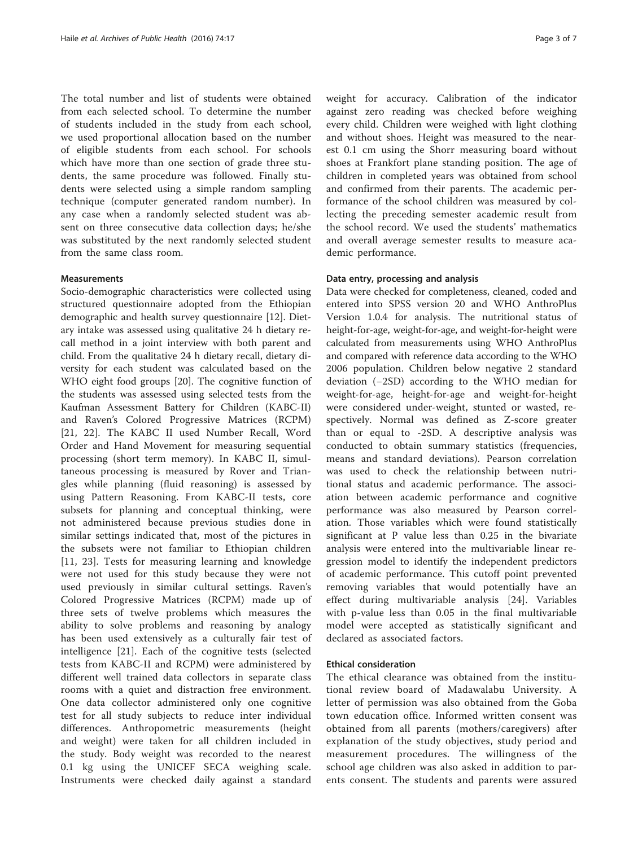The total number and list of students were obtained from each selected school. To determine the number of students included in the study from each school, we used proportional allocation based on the number of eligible students from each school. For schools which have more than one section of grade three students, the same procedure was followed. Finally students were selected using a simple random sampling technique (computer generated random number). In any case when a randomly selected student was absent on three consecutive data collection days; he/she was substituted by the next randomly selected student from the same class room.

## **Measurements**

Socio-demographic characteristics were collected using structured questionnaire adopted from the Ethiopian demographic and health survey questionnaire [\[12](#page-6-0)]. Dietary intake was assessed using qualitative 24 h dietary recall method in a joint interview with both parent and child. From the qualitative 24 h dietary recall, dietary diversity for each student was calculated based on the WHO eight food groups [[20\]](#page-6-0). The cognitive function of the students was assessed using selected tests from the Kaufman Assessment Battery for Children (KABC-II) and Raven's Colored Progressive Matrices (RCPM) [[21, 22](#page-6-0)]. The KABC II used Number Recall, Word Order and Hand Movement for measuring sequential processing (short term memory). In KABC II, simultaneous processing is measured by Rover and Triangles while planning (fluid reasoning) is assessed by using Pattern Reasoning. From KABC-II tests, core subsets for planning and conceptual thinking, were not administered because previous studies done in similar settings indicated that, most of the pictures in the subsets were not familiar to Ethiopian children [[11, 23\]](#page-6-0). Tests for measuring learning and knowledge were not used for this study because they were not used previously in similar cultural settings. Raven's Colored Progressive Matrices (RCPM) made up of three sets of twelve problems which measures the ability to solve problems and reasoning by analogy has been used extensively as a culturally fair test of intelligence [\[21](#page-6-0)]. Each of the cognitive tests (selected tests from KABC-II and RCPM) were administered by different well trained data collectors in separate class rooms with a quiet and distraction free environment. One data collector administered only one cognitive test for all study subjects to reduce inter individual differences. Anthropometric measurements (height and weight) were taken for all children included in the study. Body weight was recorded to the nearest 0.1 kg using the UNICEF SECA weighing scale. Instruments were checked daily against a standard weight for accuracy. Calibration of the indicator against zero reading was checked before weighing every child. Children were weighed with light clothing and without shoes. Height was measured to the nearest 0.1 cm using the Shorr measuring board without shoes at Frankfort plane standing position. The age of children in completed years was obtained from school and confirmed from their parents. The academic performance of the school children was measured by collecting the preceding semester academic result from the school record. We used the students' mathematics and overall average semester results to measure academic performance.

## Data entry, processing and analysis

Data were checked for completeness, cleaned, coded and entered into SPSS version 20 and WHO AnthroPlus Version 1.0.4 for analysis. The nutritional status of height-for-age, weight-for-age, and weight-for-height were calculated from measurements using WHO AnthroPlus and compared with reference data according to the WHO 2006 population. Children below negative 2 standard deviation (−2SD) according to the WHO median for weight-for-age, height-for-age and weight-for-height were considered under-weight, stunted or wasted, respectively. Normal was defined as Z-score greater than or equal to -2SD. A descriptive analysis was conducted to obtain summary statistics (frequencies, means and standard deviations). Pearson correlation was used to check the relationship between nutritional status and academic performance. The association between academic performance and cognitive performance was also measured by Pearson correlation. Those variables which were found statistically significant at P value less than 0.25 in the bivariate analysis were entered into the multivariable linear regression model to identify the independent predictors of academic performance. This cutoff point prevented removing variables that would potentially have an effect during multivariable analysis [\[24](#page-6-0)]. Variables with p-value less than 0.05 in the final multivariable model were accepted as statistically significant and declared as associated factors.

## Ethical consideration

The ethical clearance was obtained from the institutional review board of Madawalabu University. A letter of permission was also obtained from the Goba town education office. Informed written consent was obtained from all parents (mothers/caregivers) after explanation of the study objectives, study period and measurement procedures. The willingness of the school age children was also asked in addition to parents consent. The students and parents were assured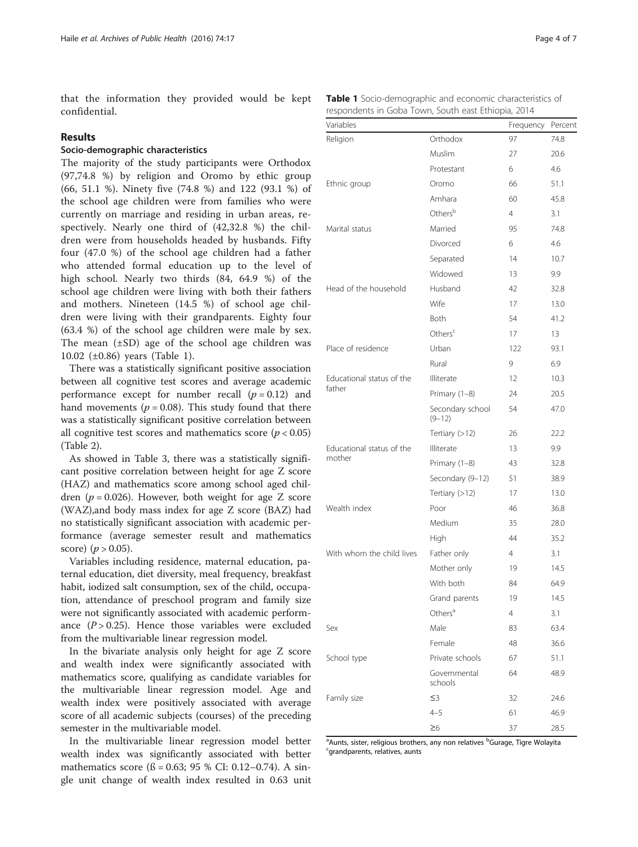that the information they provided would be kept confidential.

## Results

## Socio-demographic characteristics

The majority of the study participants were Orthodox (97,74.8 %) by religion and Oromo by ethic group (66, 51.1 %). Ninety five (74.8 %) and 122 (93.1 %) of the school age children were from families who were currently on marriage and residing in urban areas, respectively. Nearly one third of (42,32.8 %) the children were from households headed by husbands. Fifty four (47.0 %) of the school age children had a father who attended formal education up to the level of high school. Nearly two thirds (84, 64.9 %) of the school age children were living with both their fathers and mothers. Nineteen (14.5 %) of school age children were living with their grandparents. Eighty four (63.4 %) of the school age children were male by sex. The mean  $(\pm SD)$  age of the school age children was 10.02 (±0.86) years (Table 1).

There was a statistically significant positive association between all cognitive test scores and average academic performance except for number recall  $(p = 0.12)$  and hand movements ( $p = 0.08$ ). This study found that there was a statistically significant positive correlation between all cognitive test scores and mathematics score ( $p < 0.05$ ) (Table [2\)](#page-4-0).

As showed in Table [3](#page-4-0), there was a statistically significant positive correlation between height for age Z score (HAZ) and mathematics score among school aged children ( $p = 0.026$ ). However, both weight for age Z score (WAZ),and body mass index for age Z score (BAZ) had no statistically significant association with academic performance (average semester result and mathematics score) ( $p > 0.05$ ).

Variables including residence, maternal education, paternal education, diet diversity, meal frequency, breakfast habit, iodized salt consumption, sex of the child, occupation, attendance of preschool program and family size were not significantly associated with academic performance  $(P > 0.25)$ . Hence those variables were excluded from the multivariable linear regression model.

In the bivariate analysis only height for age Z score and wealth index were significantly associated with mathematics score, qualifying as candidate variables for the multivariable linear regression model. Age and wealth index were positively associated with average score of all academic subjects (courses) of the preceding semester in the multivariable model.

In the multivariable linear regression model better wealth index was significantly associated with better mathematics score ( $\beta$  = 0.63; 95 % CI: 0.12–0.74). A single unit change of wealth index resulted in 0.63 unit

|                                                     |  |  |  | <b>Table 1</b> Socio-demographic and economic characteristics of |  |
|-----------------------------------------------------|--|--|--|------------------------------------------------------------------|--|
| respondents in Goba Town, South east Ethiopia, 2014 |  |  |  |                                                                  |  |

| Variables                 |                                | Frequency | Percent |
|---------------------------|--------------------------------|-----------|---------|
| Religion                  | Orthodox                       | 97        | 74.8    |
|                           | Muslim                         | 27        | 20.6    |
|                           | Protestant                     | 6         | 4.6     |
| Ethnic group              | Oromo                          | 66        | 51.1    |
|                           | Amhara                         | 60        | 45.8    |
|                           | Others <sup>b</sup>            | 4         | 3.1     |
| Marital status            | Married                        | 95        | 74.8    |
|                           | Divorced                       | 6         | 4.6     |
|                           | Separated                      | 14        | 10.7    |
|                           | Widowed                        | 13        | 9.9     |
| Head of the household     | Husband                        | 42        | 32.8    |
|                           | Wife                           | 17        | 13.0    |
|                           | Both                           | 54        | 41.2    |
|                           | Others <sup>c</sup>            | 17        | 13      |
| Place of residence        | Urban                          | 122       | 93.1    |
|                           | Rural                          | 9         | 6.9     |
| Educational status of the | Illiterate                     | 12        | 10.3    |
| father                    | Primary (1-8)                  | 24        | 20.5    |
|                           | Secondary school<br>$(9 - 12)$ | 54        | 47.0    |
|                           | Tertiary (>12)                 | 26        | 22.2    |
| Educational status of the | Illiterate                     | 13        | 9.9     |
| mother                    | Primary (1-8)                  | 43        | 32.8    |
|                           | Secondary (9-12)               | 51        | 38.9    |
|                           | Tertiary $(>12)$               | 17        | 13.0    |
| Wealth index              | Poor                           | 46        | 36.8    |
|                           | Medium                         | 35        | 28.0    |
|                           | High                           | 44        | 35.2    |
| With whom the child lives | Father only                    | 4         | 3.1     |
|                           | Mother only                    | 19        | 14.5    |
|                           | With both                      | 84        | 64.9    |
|                           | Grand parents                  | 19        | 14.5    |
|                           | Others <sup>a</sup>            | 4         | 3.1     |
| Sex                       | Male                           | 83        | 63.4    |
|                           | Female                         | 48        | 36.6    |
| School type               | Private schools                | 67        | 51.1    |
|                           | Governmental<br>schools        | 64        | 48.9    |
| Family size               | ≤3                             | 32        | 24.6    |
|                           | $4 - 5$                        | 61        | 46.9    |
|                           | $\geq 6$                       | 37        | 28.5    |

<sup>a</sup> Aunts, sister, religious brothers, any non relatives <sup>b</sup>Gurage, Tigre Wolayita<br>Sarandparents, relatives, aunts <sup>c</sup>arandparents, relatives, aunts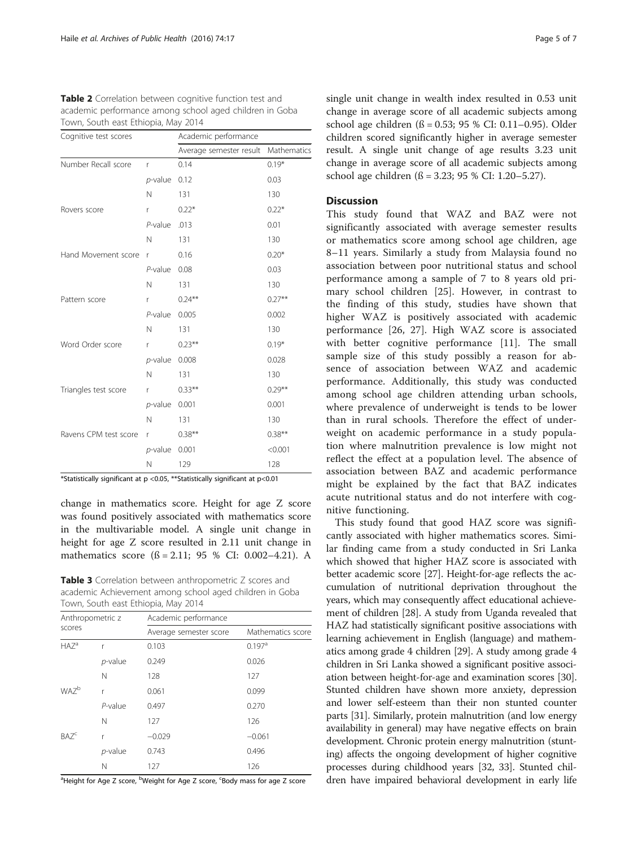<span id="page-4-0"></span>

| Table 2 Correlation between cognitive function test and |  |  |  |  |
|---------------------------------------------------------|--|--|--|--|
| academic performance among school aged children in Goba |  |  |  |  |
| Town, South east Ethiopia, May 2014                     |  |  |  |  |

| Cognitive test scores |                 | Academic performance    |             |  |
|-----------------------|-----------------|-------------------------|-------------|--|
|                       |                 | Average semester result | Mathematics |  |
| Number Recall score   | r               | 0.14                    | $0.19*$     |  |
|                       | $p$ -value 0.12 |                         | 0.03        |  |
|                       | N               | 131                     | 130         |  |
| Rovers score          | r               | $0.22*$                 | $0.22*$     |  |
|                       | $P$ -value      | .013                    | 0.01        |  |
|                       | N               | 131                     | 130         |  |
| Hand Movement score   | r               | 0.16                    | $0.20*$     |  |
|                       | $P$ -value      | 0.08                    | 0.03        |  |
|                       | N               | 131                     | 130         |  |
| Pattern score         | r               | $0.24***$               | $0.27***$   |  |
|                       | $P$ -value      | 0.005                   | 0.002       |  |
|                       | $\mathsf{N}$    | 131                     | 130         |  |
| Word Order score      | r               | $0.23***$               | $0.19*$     |  |
|                       | $p$ -value      | 0.008                   | 0.028       |  |
|                       | N               | 131                     | 130         |  |
| Triangles test score  | r               | $0.33***$               | $0.29***$   |  |
|                       | $p$ -value      | 0.001                   | 0.001       |  |
|                       | N               | 131                     | 130         |  |
| Ravens CPM test score | r               | $0.38***$               | $0.38***$   |  |
|                       | $p$ -value      | 0.001                   | < 0.001     |  |
|                       | N               | 129                     | 128         |  |

\*Statistically significant at p <0.05, \*\*Statistically significant at p<0.01

change in mathematics score. Height for age Z score was found positively associated with mathematics score in the multivariable model. A single unit change in height for age Z score resulted in 2.11 unit change in mathematics score (ß = 2.11; 95 % CI: 0.002–4.21). A

Table 3 Correlation between anthropometric Z scores and academic Achievement among school aged children in Goba Town, South east Ethiopia, May 2014

| Anthropometric z<br>scores |                 | Academic performance   |                      |  |  |  |
|----------------------------|-----------------|------------------------|----------------------|--|--|--|
|                            |                 | Average semester score | Mathematics score    |  |  |  |
| $HAZ^a$                    | r               | 0.103                  | $0.197$ <sup>a</sup> |  |  |  |
|                            | <i>p</i> -value | 0.249                  | 0.026                |  |  |  |
|                            | N               | 128                    | 127                  |  |  |  |
| WA7 <sup>b</sup>           | r               | 0.061                  | 0.099                |  |  |  |
|                            | P-value         | 0.497                  | 0.270                |  |  |  |
|                            | N               | 127                    | 126                  |  |  |  |
| BAZ <sup>c</sup>           | r               | $-0.029$               | $-0.061$             |  |  |  |
|                            | p-value         | 0.743                  | 0.496                |  |  |  |
|                            | Ν               | 127                    | 126                  |  |  |  |

<sup>a</sup>Height for Age Z score, <sup>b</sup>Weight for Age Z score, <sup>c</sup>Body mass for age Z score

single unit change in wealth index resulted in 0.53 unit change in average score of all academic subjects among school age children (ß = 0.53; 95 % CI: 0.11–0.95). Older children scored significantly higher in average semester result. A single unit change of age results 3.23 unit change in average score of all academic subjects among school age children (ß = 3.23; 95 % CI: 1.20–5.27).

## Discussion

This study found that WAZ and BAZ were not significantly associated with average semester results or mathematics score among school age children, age 8–11 years. Similarly a study from Malaysia found no association between poor nutritional status and school performance among a sample of 7 to 8 years old primary school children [[25\]](#page-6-0). However, in contrast to the finding of this study, studies have shown that higher WAZ is positively associated with academic performance [[26, 27](#page-6-0)]. High WAZ score is associated with better cognitive performance [\[11](#page-6-0)]. The small sample size of this study possibly a reason for absence of association between WAZ and academic performance. Additionally, this study was conducted among school age children attending urban schools, where prevalence of underweight is tends to be lower than in rural schools. Therefore the effect of underweight on academic performance in a study population where malnutrition prevalence is low might not reflect the effect at a population level. The absence of association between BAZ and academic performance might be explained by the fact that BAZ indicates acute nutritional status and do not interfere with cognitive functioning.

This study found that good HAZ score was significantly associated with higher mathematics scores. Similar finding came from a study conducted in Sri Lanka which showed that higher HAZ score is associated with better academic score [\[27\]](#page-6-0). Height-for-age reflects the accumulation of nutritional deprivation throughout the years, which may consequently affect educational achievement of children [\[28\]](#page-6-0). A study from Uganda revealed that HAZ had statistically significant positive associations with learning achievement in English (language) and mathematics among grade 4 children [[29\]](#page-6-0). A study among grade 4 children in Sri Lanka showed a significant positive association between height-for-age and examination scores [[30](#page-6-0)]. Stunted children have shown more anxiety, depression and lower self-esteem than their non stunted counter parts [[31](#page-6-0)]. Similarly, protein malnutrition (and low energy availability in general) may have negative effects on brain development. Chronic protein energy malnutrition (stunting) affects the ongoing development of higher cognitive processes during childhood years [[32](#page-6-0), [33](#page-6-0)]. Stunted children have impaired behavioral development in early life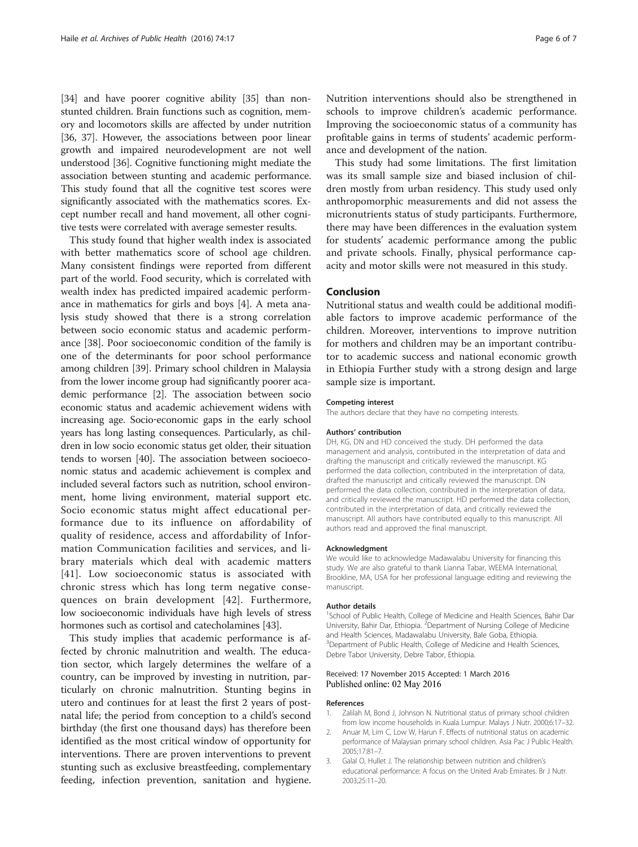<span id="page-5-0"></span>[[34](#page-6-0)] and have poorer cognitive ability [\[35\]](#page-6-0) than nonstunted children. Brain functions such as cognition, memory and locomotors skills are affected by under nutrition [[36](#page-6-0), [37\]](#page-6-0). However, the associations between poor linear growth and impaired neurodevelopment are not well understood [\[36\]](#page-6-0). Cognitive functioning might mediate the association between stunting and academic performance. This study found that all the cognitive test scores were significantly associated with the mathematics scores. Except number recall and hand movement, all other cognitive tests were correlated with average semester results.

This study found that higher wealth index is associated with better mathematics score of school age children. Many consistent findings were reported from different part of the world. Food security, which is correlated with wealth index has predicted impaired academic performance in mathematics for girls and boys [[4\]](#page-6-0). A meta analysis study showed that there is a strong correlation between socio economic status and academic performance [[38\]](#page-6-0). Poor socioeconomic condition of the family is one of the determinants for poor school performance among children [\[39](#page-6-0)]. Primary school children in Malaysia from the lower income group had significantly poorer academic performance [2]. The association between socio economic status and academic achievement widens with increasing age. Socio‐economic gaps in the early school years has long lasting consequences. Particularly, as children in low socio economic status get older, their situation tends to worsen [[40](#page-6-0)]. The association between socioeconomic status and academic achievement is complex and included several factors such as nutrition, school environment, home living environment, material support etc. Socio economic status might affect educational performance due to its influence on affordability of quality of residence, access and affordability of Information Communication facilities and services, and library materials which deal with academic matters [[41](#page-6-0)]. Low socioeconomic status is associated with chronic stress which has long term negative consequences on brain development [[42](#page-6-0)]. Furthermore, low socioeconomic individuals have high levels of stress hormones such as cortisol and catecholamines [\[43\]](#page-6-0).

This study implies that academic performance is affected by chronic malnutrition and wealth. The education sector, which largely determines the welfare of a country, can be improved by investing in nutrition, particularly on chronic malnutrition. Stunting begins in utero and continues for at least the first 2 years of postnatal life; the period from conception to a child's second birthday (the first one thousand days) has therefore been identified as the most critical window of opportunity for interventions. There are proven interventions to prevent stunting such as exclusive breastfeeding, complementary feeding, infection prevention, sanitation and hygiene. Nutrition interventions should also be strengthened in schools to improve children's academic performance. Improving the socioeconomic status of a community has profitable gains in terms of students' academic performance and development of the nation.

This study had some limitations. The first limitation was its small sample size and biased inclusion of children mostly from urban residency. This study used only anthropomorphic measurements and did not assess the micronutrients status of study participants. Furthermore, there may have been differences in the evaluation system for students' academic performance among the public and private schools. Finally, physical performance capacity and motor skills were not measured in this study.

## Conclusion

Nutritional status and wealth could be additional modifiable factors to improve academic performance of the children. Moreover, interventions to improve nutrition for mothers and children may be an important contributor to academic success and national economic growth in Ethiopia Further study with a strong design and large sample size is important.

## Competing interest

The authors declare that they have no competing interests.

#### Authors' contribution

DH, KG, DN and HD conceived the study. DH performed the data management and analysis, contributed in the interpretation of data and drafting the manuscript and critically reviewed the manuscript. KG performed the data collection, contributed in the interpretation of data, drafted the manuscript and critically reviewed the manuscript. DN performed the data collection, contributed in the interpretation of data, and critically reviewed the manuscript. HD performed the data collection, contributed in the interpretation of data, and critically reviewed the manuscript. All authors have contributed equally to this manuscript. All authors read and approved the final manuscript.

#### Acknowledgment

We would like to acknowledge Madawalabu University for financing this study. We are also grateful to thank Lianna Tabar, WEEMA International, Brookline, MA, USA for her professional language editing and reviewing the manuscript.

#### Author details

<sup>1</sup>School of Public Health, College of Medicine and Health Sciences, Bahir Dar University, Bahir Dar, Ethiopia. <sup>2</sup> Department of Nursing College of Medicine and Health Sciences, Madawalabu University, Bale Goba, Ethiopia. <sup>3</sup>Department of Public Health, College of Medicine and Health Sciences Debre Tabor University, Debre Tabor, Ethiopia.

## Received: 17 November 2015 Accepted: 1 March 2016 Published online: 02 May 2016

#### References

- 1. Zalilah M, Bond J, Johnson N. Nutritional status of primary school children from low income households in Kuala Lumpur. Malays J Nutr. 2000;6:17–32.
- 2. Anuar M, Lim C, Low W, Harun F. Effects of nutritional status on academic performance of Malaysian primary school children. Asia Pac J Public Health. 2005;17:81–7.
- 3. Galal O, Hullet J. The relationship between nutrition and children's educational performance: A focus on the United Arab Emirates. Br J Nutr. 2003;25:11–20.